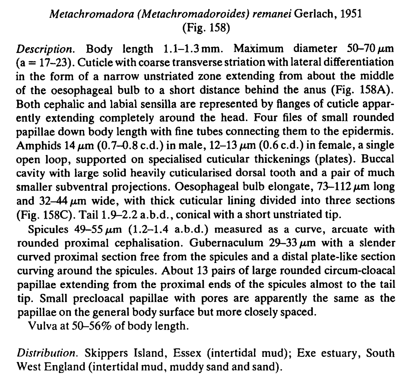## Metachromadora (Metachromadoroides) remanei Gerlach, 1951 (Fig. 158)

Description. Body length  $1.1-1.3$  mm. Maximum diameter  $50-70 \,\mu m$  $(a = 17-23)$ . Cuticle with coarse transverse striation with lateral differentiation in the form of a narrow unstriated zone extending from about the middle of the oesophageal bulb to a short distance behind the anus (Fig. 158A). Both cephalic and labial sensilla are represented by Ranges of cuticle apparently extending completely around the head. Four files of small rounded papillae down body length with fine tubes connecting them to the epidermis. Amphids 14  $\mu$ m (0.7–0.8 c.d.) in male, 12–13  $\mu$ m (0.6 c.d.) in female, a single open loop, supported on specialised cuticular thickenings (plates). Buccal cavity with large solid heavily cuticularised dorsal tooth and a pair of much smaller subventral projections. Oesophageal bulb elongate,  $73-112 \mu m$  long and  $32-44 \mu m$  wide, with thick cuticular lining divided into three sections (Fig. 158C). Tail 1.9-2.2 a.b.d., conical with a short unstriated tip.

Spicules  $49-55 \mu m$  (1.2-1.4 a.b.d.) measured as a curve, arcuate with rounded proximal cephalisation. Gubernaculum  $29-33 \mu m$  with a slender curved proximal section free from the spicules and a distal plate-like section curving around the spicules. About 13 pairs of large rounded circum-cloacal papillae extending from the proximal ends of the spicules almost to the tail tip. Small precloacal papillae with pores are apparently the same as the papillae on the general body surface but more closely spaced.

Vulva at 50-56% of body length.

Distribution. Skippers Island, Essex (intertidal mud); Exe estuary, South West England (intertidal mud, muddy sand and sand).